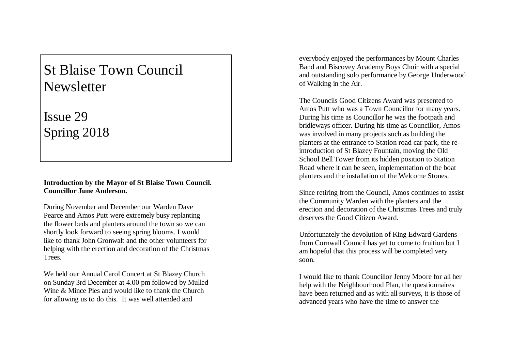## St Blaise Town Council **Newsletter**

Issue 2 9 Spring 20 1 8

**Introduction by the Mayor of St Blaise Town Council. Councillor June Anderson.**

During November and December our Warden Dave Pearce and Amos Putt were extremely busy replanting the flower beds and planters around the town so we can shortly look forward to seeing spring blooms. I would like to thank John Gronwalt and the other volunteers for helping with the erection and decoration of the Christmas Trees.

We held our Annual Carol Concert at St Blazey Church on Sunday 3rd December at 4.00 pm followed by Mulled Wine & Mince Pies and would like to thank the Church for allowing us to do this. It was well attended and

everybody enjoyed the performances by Mount Charles Band and Biscovey Academy Boys Choir with a special and outstanding solo performance by George Underwood of Walking in the Air.

The Councils Good Citizens Award was presented to Amos Putt who was a Town Councillor for many years. During his time as Councillor he was the footpath and bridleways officer. During his time as Councillor, Amos was involved in many projects such as building the planters at the entrance to Station road car park, the re introduction of St Blazey Fountain, moving the Old School Bell Tower from its hidden position to Station Road where it can be seen, implementation of the boat planters and the installation of the Welcome Stones.

Since retiring from the Council, Amos continues to assist the Community Warden with the planters and the erection and decoration of the Christmas Trees and truly deserves the Good Citizen Award.

Unfortunately the devolution of King Edward Gardens from Cornwall Council has yet to come to fruition but I am hopeful that this process will be completed very soon.

I would like to thank Councillor Jenny Moore for all her help with the Neighbourhood Plan, the questionnaires have been returned and as with all surveys, it is those of advanced years who have the time to answer the